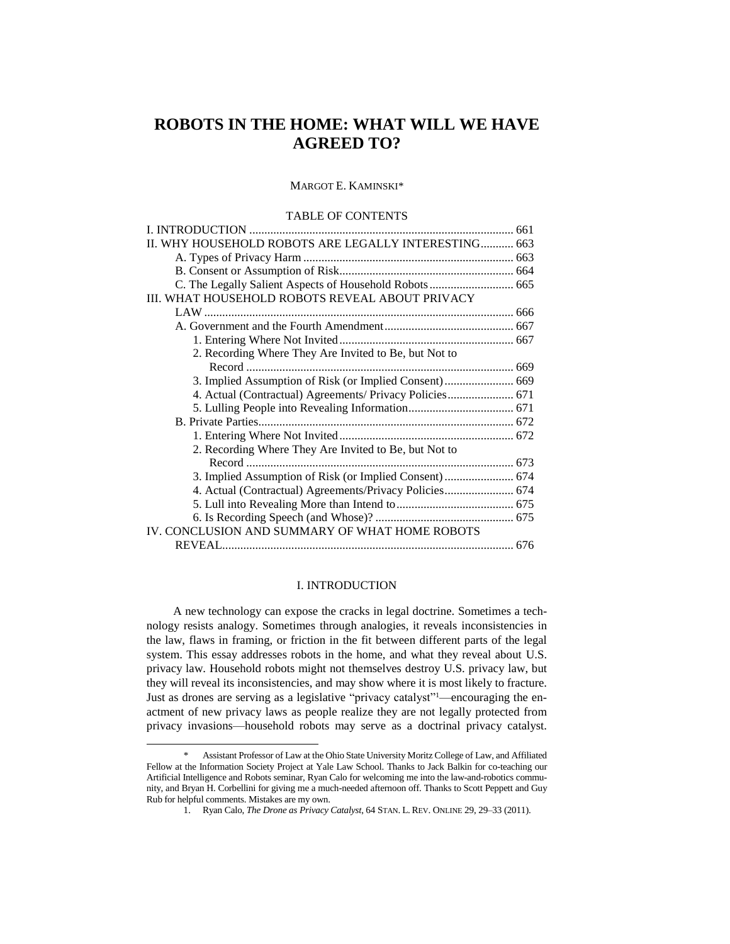# **ROBOTS IN THE HOME: WHAT WILL WE HAVE AGREED TO?**

## MARGOT E. KAMINSKI*\**

# TABLE OF CONTENTS

| II. WHY HOUSEHOLD ROBOTS ARE LEGALLY INTERESTING 663     |  |
|----------------------------------------------------------|--|
|                                                          |  |
|                                                          |  |
|                                                          |  |
| III. WHAT HOUSEHOLD ROBOTS REVEAL ABOUT PRIVACY          |  |
|                                                          |  |
|                                                          |  |
|                                                          |  |
| 2. Recording Where They Are Invited to Be, but Not to    |  |
|                                                          |  |
|                                                          |  |
| 4. Actual (Contractual) Agreements/ Privacy Policies 671 |  |
|                                                          |  |
|                                                          |  |
|                                                          |  |
| 2. Recording Where They Are Invited to Be, but Not to    |  |
|                                                          |  |
| 3. Implied Assumption of Risk (or Implied Consent)  674  |  |
| 4. Actual (Contractual) Agreements/Privacy Policies 674  |  |
|                                                          |  |
|                                                          |  |
| IV. CONCLUSION AND SUMMARY OF WHAT HOME ROBOTS           |  |
|                                                          |  |

# I. INTRODUCTION

A new technology can expose the cracks in legal doctrine. Sometimes a technology resists analogy. Sometimes through analogies, it reveals inconsistencies in the law, flaws in framing, or friction in the fit between different parts of the legal system. This essay addresses robots in the home, and what they reveal about U.S. privacy law. Household robots might not themselves destroy U.S. privacy law, but they will reveal its inconsistencies, and may show where it is most likely to fracture. Just as drones are serving as a legislative "privacy catalyst"1—encouraging the enactment of new privacy laws as people realize they are not legally protected from privacy invasions—household robots may serve as a doctrinal privacy catalyst.

<sup>\*</sup> Assistant Professor of Law at the Ohio State University Moritz College of Law, and Affiliated Fellow at the Information Society Project at Yale Law School. Thanks to Jack Balkin for co-teaching our Artificial Intelligence and Robots seminar, Ryan Calo for welcoming me into the law-and-robotics community, and Bryan H. Corbellini for giving me a much-needed afternoon off. Thanks to Scott Peppett and Guy Rub for helpful comments. Mistakes are my own.

<sup>1.</sup> Ryan Calo, *The Drone as Privacy Catalyst*, 64 STAN. L. REV. ONLINE 29, 29–33 (2011).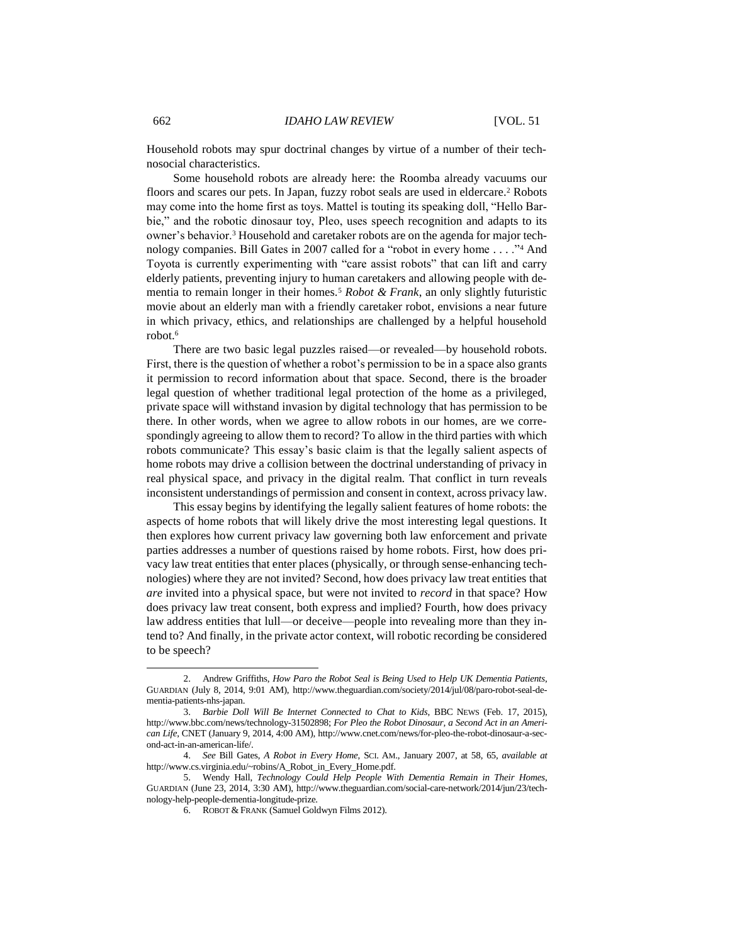Household robots may spur doctrinal changes by virtue of a number of their technosocial characteristics.

Some household robots are already here: the Roomba already vacuums our floors and scares our pets. In Japan, fuzzy robot seals are used in eldercare.<sup>2</sup> Robots may come into the home first as toys. Mattel is touting its speaking doll, "Hello Barbie," and the robotic dinosaur toy, Pleo, uses speech recognition and adapts to its owner's behavior.<sup>3</sup> Household and caretaker robots are on the agenda for major technology companies. Bill Gates in 2007 called for a "robot in every home . . . ."<sup>4</sup> And Toyota is currently experimenting with "care assist robots" that can lift and carry elderly patients, preventing injury to human caretakers and allowing people with dementia to remain longer in their homes.<sup>5</sup> *Robot & Frank*, an only slightly futuristic movie about an elderly man with a friendly caretaker robot, envisions a near future in which privacy, ethics, and relationships are challenged by a helpful household robot.<sup>6</sup>

There are two basic legal puzzles raised—or revealed—by household robots. First, there is the question of whether a robot's permission to be in a space also grants it permission to record information about that space. Second, there is the broader legal question of whether traditional legal protection of the home as a privileged, private space will withstand invasion by digital technology that has permission to be there. In other words, when we agree to allow robots in our homes, are we correspondingly agreeing to allow them to record? To allow in the third parties with which robots communicate? This essay's basic claim is that the legally salient aspects of home robots may drive a collision between the doctrinal understanding of privacy in real physical space, and privacy in the digital realm. That conflict in turn reveals inconsistent understandings of permission and consent in context, across privacy law.

This essay begins by identifying the legally salient features of home robots: the aspects of home robots that will likely drive the most interesting legal questions. It then explores how current privacy law governing both law enforcement and private parties addresses a number of questions raised by home robots. First, how does privacy law treat entities that enter places (physically, or through sense-enhancing technologies) where they are not invited? Second, how does privacy law treat entities that *are* invited into a physical space, but were not invited to *record* in that space? How does privacy law treat consent, both express and implied? Fourth, how does privacy law address entities that lull—or deceive—people into revealing more than they intend to? And finally, in the private actor context, will robotic recording be considered to be speech?

<sup>2.</sup> Andrew Griffiths, *How Paro the Robot Seal is Being Used to Help UK Dementia Patients*, GUARDIAN (July 8, 2014, 9:01 AM), http://www.theguardian.com/society/2014/jul/08/paro-robot-seal-dementia-patients-nhs-japan.

<sup>3.</sup> *Barbie Doll Will Be Internet Connected to Chat to Kids*, BBC NEWS (Feb. 17, 2015), http://www.bbc.com/news/technology-31502898; *For Pleo the Robot Dinosaur, a Second Act in an American Life*, CNET (January 9, 2014, 4:00 AM), http://www.cnet.com/news/for-pleo-the-robot-dinosaur-a-second-act-in-an-american-life/.

<sup>4.</sup> *See* Bill Gates, *A Robot in Every Home*, SCI. AM., January 2007, at 58, 65, *available at* http://www.cs.virginia.edu/~robins/A\_Robot\_in\_Every\_Home.pdf.

<sup>5.</sup> Wendy Hall, *Technology Could Help People With Dementia Remain in Their Homes*, GUARDIAN (June 23, 2014, 3:30 AM), http://www.theguardian.com/social-care-network/2014/jun/23/technology-help-people-dementia-longitude-prize.

<sup>6.</sup> ROBOT & FRANK (Samuel Goldwyn Films 2012).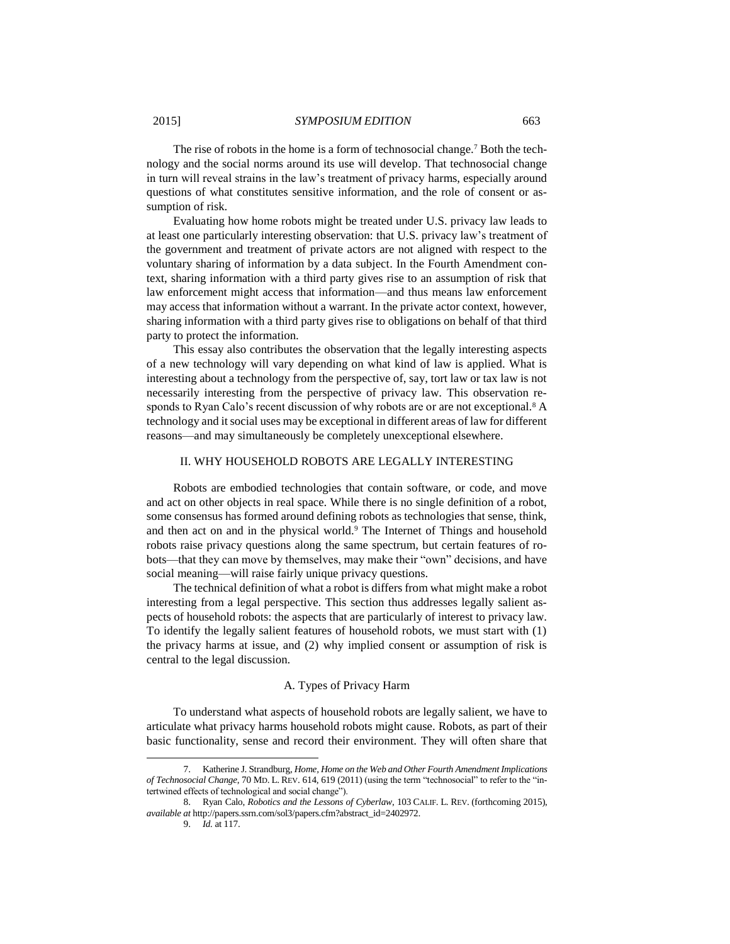The rise of robots in the home is a form of technosocial change.<sup>7</sup> Both the technology and the social norms around its use will develop. That technosocial change in turn will reveal strains in the law's treatment of privacy harms, especially around questions of what constitutes sensitive information, and the role of consent or assumption of risk.

Evaluating how home robots might be treated under U.S. privacy law leads to at least one particularly interesting observation: that U.S. privacy law's treatment of the government and treatment of private actors are not aligned with respect to the voluntary sharing of information by a data subject. In the Fourth Amendment context, sharing information with a third party gives rise to an assumption of risk that law enforcement might access that information—and thus means law enforcement may access that information without a warrant. In the private actor context, however, sharing information with a third party gives rise to obligations on behalf of that third party to protect the information.

This essay also contributes the observation that the legally interesting aspects of a new technology will vary depending on what kind of law is applied. What is interesting about a technology from the perspective of, say, tort law or tax law is not necessarily interesting from the perspective of privacy law. This observation responds to Ryan Calo's recent discussion of why robots are or are not exceptional.<sup>8</sup> A technology and it social uses may be exceptional in different areas of law for different reasons—and may simultaneously be completely unexceptional elsewhere.

## II. WHY HOUSEHOLD ROBOTS ARE LEGALLY INTERESTING

Robots are embodied technologies that contain software, or code, and move and act on other objects in real space. While there is no single definition of a robot, some consensus has formed around defining robots as technologies that sense, think, and then act on and in the physical world.<sup>9</sup> The Internet of Things and household robots raise privacy questions along the same spectrum, but certain features of robots—that they can move by themselves, may make their "own" decisions, and have social meaning—will raise fairly unique privacy questions.

The technical definition of what a robot is differs from what might make a robot interesting from a legal perspective. This section thus addresses legally salient aspects of household robots: the aspects that are particularly of interest to privacy law. To identify the legally salient features of household robots, we must start with (1) the privacy harms at issue, and (2) why implied consent or assumption of risk is central to the legal discussion.

#### <span id="page-2-0"></span>A. Types of Privacy Harm

To understand what aspects of household robots are legally salient, we have to articulate what privacy harms household robots might cause. Robots, as part of their basic functionality, sense and record their environment. They will often share that

9. *Id.* at 117.

<sup>7.</sup> Katherine J. Strandburg, *Home, Home on the Web and Other Fourth Amendment Implications of Technosocial Change*, 70 MD. L. REV. 614, 619 (2011) (using the term "technosocial" to refer to the "intertwined effects of technological and social change").

<sup>8.</sup> Ryan Calo, *Robotics and the Lessons of Cyberlaw*, 103 CALIF. L. REV. (forthcoming 2015), *available at* http://papers.ssrn.com/sol3/papers.cfm?abstract\_id=2402972.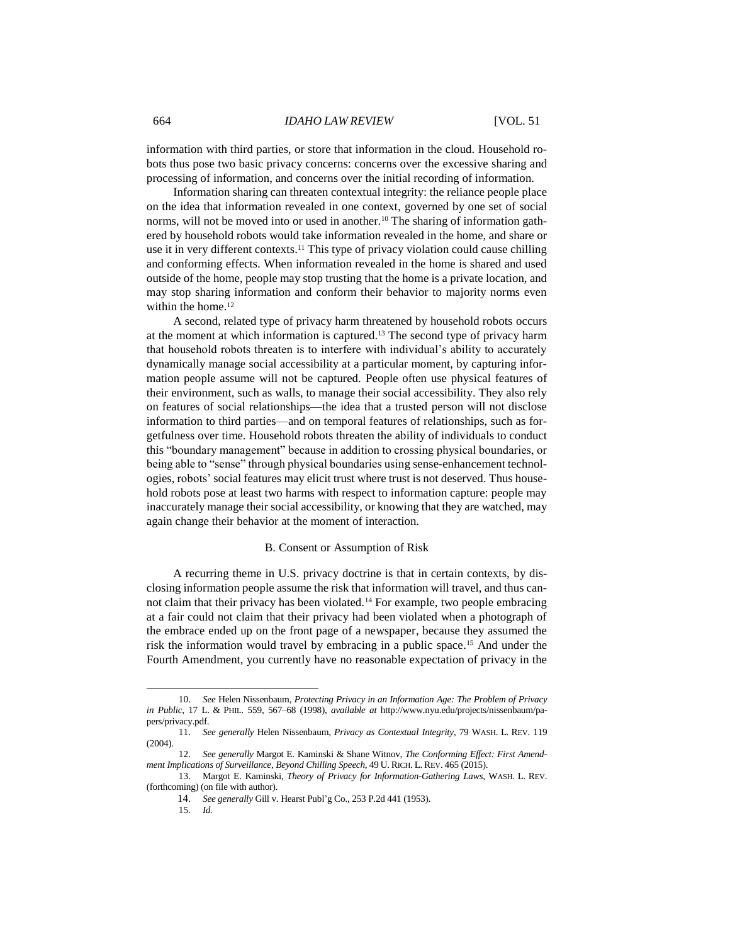information with third parties, or store that information in the cloud. Household robots thus pose two basic privacy concerns: concerns over the excessive sharing and processing of information, and concerns over the initial recording of information.

Information sharing can threaten contextual integrity: the reliance people place on the idea that information revealed in one context, governed by one set of social norms, will not be moved into or used in another.<sup>10</sup> The sharing of information gathered by household robots would take information revealed in the home, and share or use it in very different contexts. <sup>11</sup> This type of privacy violation could cause chilling and conforming effects. When information revealed in the home is shared and used outside of the home, people may stop trusting that the home is a private location, and may stop sharing information and conform their behavior to majority norms even within the home.<sup>12</sup>

A second, related type of privacy harm threatened by household robots occurs at the moment at which information is captured.<sup>13</sup> The second type of privacy harm that household robots threaten is to interfere with individual's ability to accurately dynamically manage social accessibility at a particular moment, by capturing information people assume will not be captured. People often use physical features of their environment, such as walls, to manage their social accessibility. They also rely on features of social relationships—the idea that a trusted person will not disclose information to third parties—and on temporal features of relationships, such as forgetfulness over time. Household robots threaten the ability of individuals to conduct this "boundary management" because in addition to crossing physical boundaries, or being able to "sense" through physical boundaries using sense-enhancement technologies, robots' social features may elicit trust where trust is not deserved. Thus household robots pose at least two harms with respect to information capture: people may inaccurately manage their social accessibility, or knowing that they are watched, may again change their behavior at the moment of interaction.

#### B. Consent or Assumption of Risk

A recurring theme in U.S. privacy doctrine is that in certain contexts, by disclosing information people assume the risk that information will travel, and thus cannot claim that their privacy has been violated.<sup>14</sup> For example, two people embracing at a fair could not claim that their privacy had been violated when a photograph of the embrace ended up on the front page of a newspaper, because they assumed the risk the information would travel by embracing in a public space. <sup>15</sup> And under the Fourth Amendment, you currently have no reasonable expectation of privacy in the

<sup>10.</sup> *See* Helen Nissenbaum, *Protecting Privacy in an Information Age: The Problem of Privacy in Public*, 17 L. & PHIL. 559, 567–68 (1998), *available at* http://www.nyu.edu/projects/nissenbaum/papers/privacy.pdf.

<sup>11.</sup> *See generally* Helen Nissenbaum, *Privacy as Contextual Integrity*, 79 WASH. L. REV. 119 (2004).

<sup>12.</sup> *See generally* Margot E. Kaminski & Shane Witnov, *The Conforming Effect: First Amendment Implications of Surveillance, Beyond Chilling Speech*, 49 U. RICH. L. REV. 465 (2015).

<sup>13.</sup> Margot E. Kaminski, *Theory of Privacy for Information-Gathering Laws*, WASH. L. REV. (forthcoming) (on file with author).

<sup>14</sup>. *See generally* Gill v. Hearst Publ'g Co., 253 P.2d 441 (1953).

<sup>15.</sup> *Id.*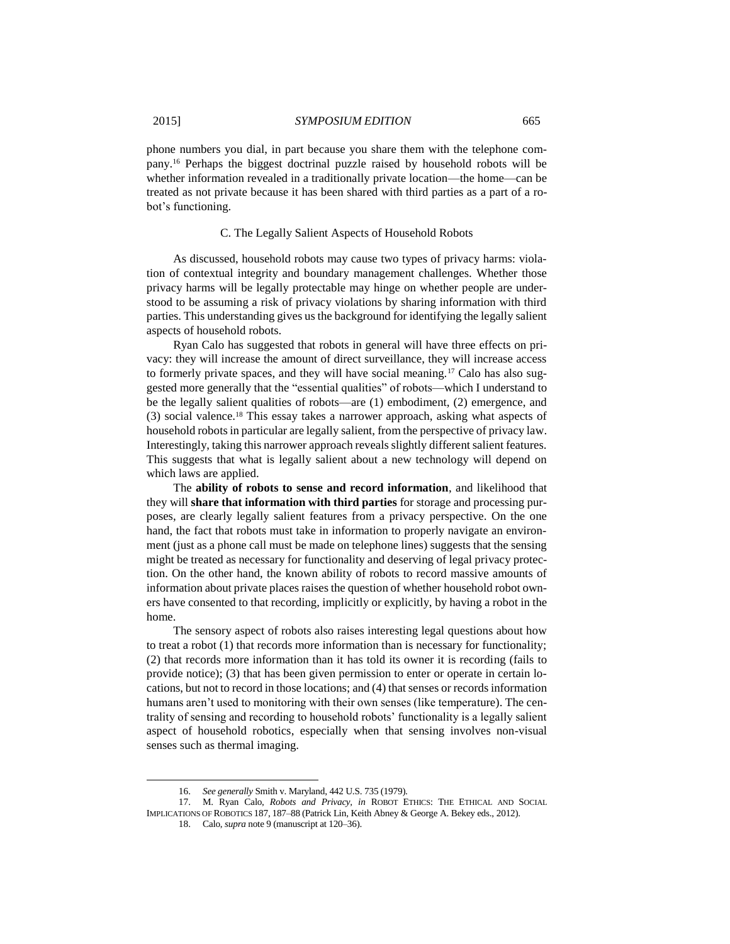phone numbers you dial, in part because you share them with the telephone company.<sup>16</sup> Perhaps the biggest doctrinal puzzle raised by household robots will be whether information revealed in a traditionally private location—the home—can be treated as not private because it has been shared with third parties as a part of a robot's functioning.

#### C. The Legally Salient Aspects of Household Robots

As discussed, household robots may cause two types of privacy harms: violation of contextual integrity and boundary management challenges. Whether those privacy harms will be legally protectable may hinge on whether people are understood to be assuming a risk of privacy violations by sharing information with third parties. This understanding gives us the background for identifying the legally salient aspects of household robots.

Ryan Calo has suggested that robots in general will have three effects on privacy: they will increase the amount of direct surveillance, they will increase access to formerly private spaces, and they will have social meaning.<sup>17</sup> Calo has also suggested more generally that the "essential qualities" of robots—which I understand to be the legally salient qualities of robots—are (1) embodiment, (2) emergence, and (3) social valence.<sup>18</sup> This essay takes a narrower approach, asking what aspects of household robots in particular are legally salient, from the perspective of privacy law. Interestingly, taking this narrower approach reveals slightly different salient features. This suggests that what is legally salient about a new technology will depend on which laws are applied.

The **ability of robots to sense and record information**, and likelihood that they will **share that information with third parties** for storage and processing purposes, are clearly legally salient features from a privacy perspective. On the one hand, the fact that robots must take in information to properly navigate an environment (just as a phone call must be made on telephone lines) suggests that the sensing might be treated as necessary for functionality and deserving of legal privacy protection. On the other hand, the known ability of robots to record massive amounts of information about private places raises the question of whether household robot owners have consented to that recording, implicitly or explicitly, by having a robot in the home.

The sensory aspect of robots also raises interesting legal questions about how to treat a robot (1) that records more information than is necessary for functionality; (2) that records more information than it has told its owner it is recording (fails to provide notice); (3) that has been given permission to enter or operate in certain locations, but not to record in those locations; and (4) that senses or records information humans aren't used to monitoring with their own senses (like temperature). The centrality of sensing and recording to household robots' functionality is a legally salient aspect of household robotics, especially when that sensing involves non-visual senses such as thermal imaging.

<sup>16.</sup> *See generally* Smith v. Maryland, 442 U.S. 735 (1979).

<sup>17.</sup> M. Ryan Calo, *Robots and Privacy, in* ROBOT ETHICS: THE ETHICAL AND SOCIAL IMPLICATIONS OF ROBOTICS 187, 187–88 (Patrick Lin, Keith Abney & George A. Bekey eds., 2012).

<sup>18.</sup> Calo, *supra* not[e 9](#page-2-0) (manuscript at 120–36).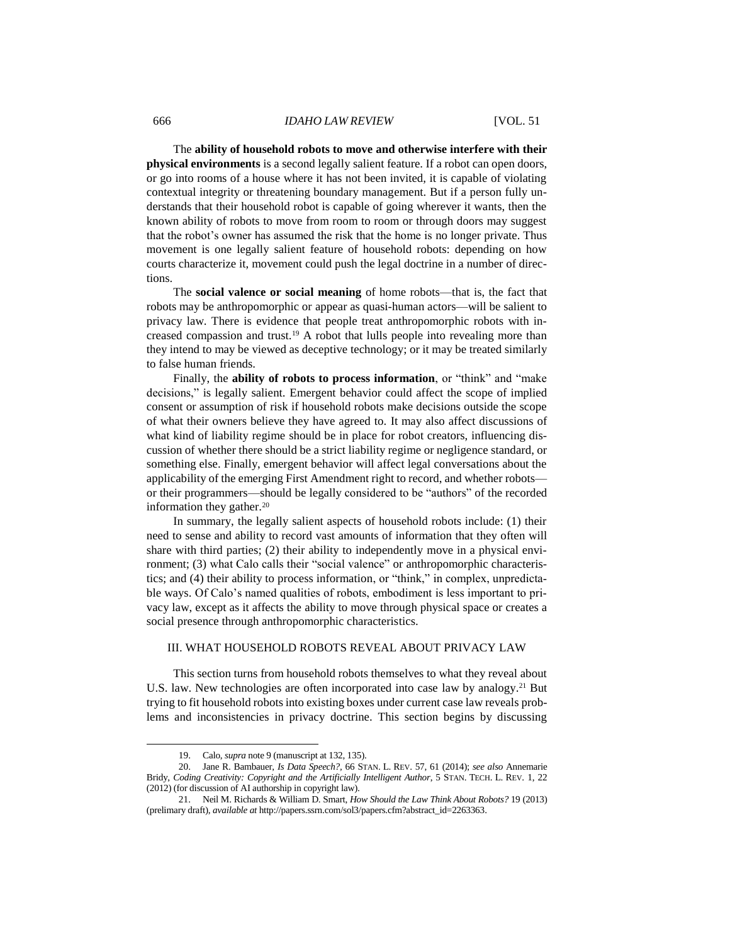The **ability of household robots to move and otherwise interfere with their physical environments** is a second legally salient feature. If a robot can open doors, or go into rooms of a house where it has not been invited, it is capable of violating contextual integrity or threatening boundary management. But if a person fully understands that their household robot is capable of going wherever it wants, then the known ability of robots to move from room to room or through doors may suggest that the robot's owner has assumed the risk that the home is no longer private. Thus movement is one legally salient feature of household robots: depending on how courts characterize it, movement could push the legal doctrine in a number of directions.

The **social valence or social meaning** of home robots—that is, the fact that robots may be anthropomorphic or appear as quasi-human actors—will be salient to privacy law. There is evidence that people treat anthropomorphic robots with increased compassion and trust.<sup>19</sup> A robot that lulls people into revealing more than they intend to may be viewed as deceptive technology; or it may be treated similarly to false human friends.

Finally, the **ability of robots to process information**, or "think" and "make decisions," is legally salient. Emergent behavior could affect the scope of implied consent or assumption of risk if household robots make decisions outside the scope of what their owners believe they have agreed to. It may also affect discussions of what kind of liability regime should be in place for robot creators, influencing discussion of whether there should be a strict liability regime or negligence standard, or something else. Finally, emergent behavior will affect legal conversations about the applicability of the emerging First Amendment right to record, and whether robots or their programmers—should be legally considered to be "authors" of the recorded information they gather. $20$ 

In summary, the legally salient aspects of household robots include: (1) their need to sense and ability to record vast amounts of information that they often will share with third parties; (2) their ability to independently move in a physical environment; (3) what Calo calls their "social valence" or anthropomorphic characteristics; and (4) their ability to process information, or "think," in complex, unpredictable ways. Of Calo's named qualities of robots, embodiment is less important to privacy law, except as it affects the ability to move through physical space or creates a social presence through anthropomorphic characteristics.

#### III. WHAT HOUSEHOLD ROBOTS REVEAL ABOUT PRIVACY LAW

This section turns from household robots themselves to what they reveal about U.S. law. New technologies are often incorporated into case law by analogy.<sup>21</sup> But trying to fit household robots into existing boxes under current case law reveals problems and inconsistencies in privacy doctrine. This section begins by discussing

<sup>19.</sup> Calo, *supra* not[e 9](#page-2-0) (manuscript at 132, 135).

<sup>20.</sup> Jane R. Bambauer, *Is Data Speech?,* 66 STAN. L. REV. 57, 61 (2014); *see also* Annemarie Bridy, *Coding Creativity: Copyright and the Artificially Intelligent Author*, 5 STAN. TECH. L. REV. 1, 22 (2012) (for discussion of AI authorship in copyright law).

<sup>21.</sup> Neil M. Richards & William D. Smart, *How Should the Law Think About Robots?* 19 (2013) (prelimary draft), *available at* http://papers.ssrn.com/sol3/papers.cfm?abstract\_id=2263363.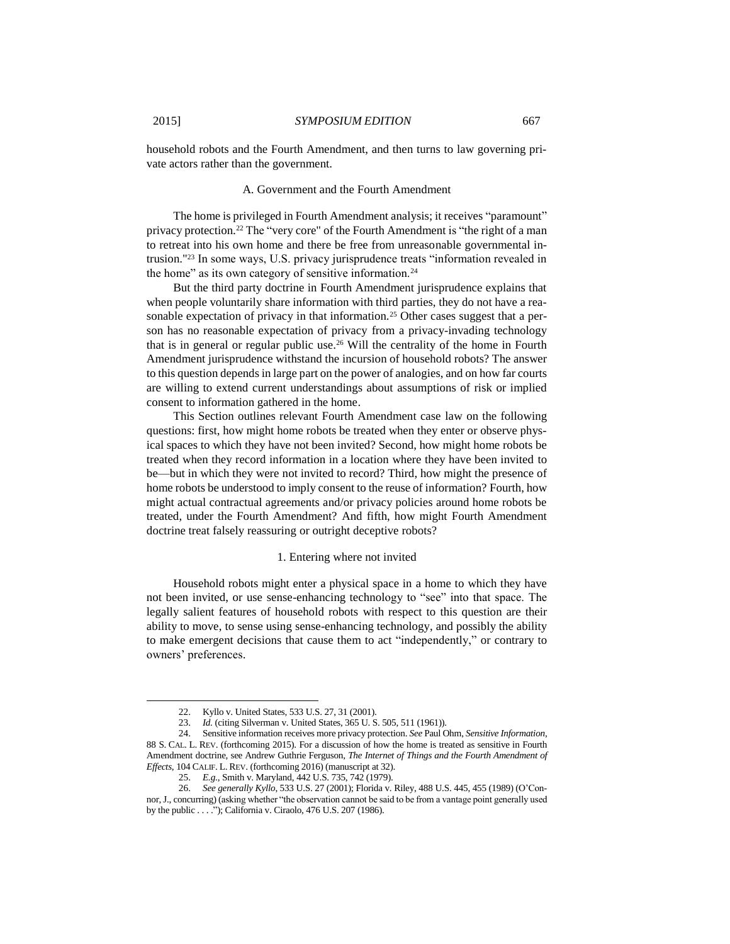household robots and the Fourth Amendment, and then turns to law governing private actors rather than the government.

#### A. Government and the Fourth Amendment

The home is privileged in Fourth Amendment analysis; it receives "paramount" privacy protection.<sup>22</sup> The "very core" of the Fourth Amendment is "the right of a man to retreat into his own home and there be free from unreasonable governmental intrusion."<sup>23</sup> In some ways, U.S. privacy jurisprudence treats "information revealed in the home" as its own category of sensitive information.<sup>24</sup>

But the third party doctrine in Fourth Amendment jurisprudence explains that when people voluntarily share information with third parties, they do not have a reasonable expectation of privacy in that information.<sup>25</sup> Other cases suggest that a person has no reasonable expectation of privacy from a privacy-invading technology that is in general or regular public use.<sup>26</sup> Will the centrality of the home in Fourth Amendment jurisprudence withstand the incursion of household robots? The answer to this question depends in large part on the power of analogies, and on how far courts are willing to extend current understandings about assumptions of risk or implied consent to information gathered in the home.

This Section outlines relevant Fourth Amendment case law on the following questions: first, how might home robots be treated when they enter or observe physical spaces to which they have not been invited? Second, how might home robots be treated when they record information in a location where they have been invited to be—but in which they were not invited to record? Third, how might the presence of home robots be understood to imply consent to the reuse of information? Fourth, how might actual contractual agreements and/or privacy policies around home robots be treated, under the Fourth Amendment? And fifth, how might Fourth Amendment doctrine treat falsely reassuring or outright deceptive robots?

#### 1. Entering where not invited

Household robots might enter a physical space in a home to which they have not been invited, or use sense-enhancing technology to "see" into that space. The legally salient features of household robots with respect to this question are their ability to move, to sense using sense-enhancing technology, and possibly the ability to make emergent decisions that cause them to act "independently," or contrary to owners' preferences.

<sup>22.</sup> Kyllo v. United States, 533 U.S. 27, 31 (2001).

<sup>23.</sup> *Id.* (citing Silverman v. United States, 365 U. S. 505, 511 (1961)).

<sup>24.</sup> Sensitive information receives more privacy protection. *See* Paul Ohm, *Sensitive Information*, 88 S. CAL. L. REV. (forthcoming 2015). For a discussion of how the home is treated as sensitive in Fourth Amendment doctrine, see Andrew Guthrie Ferguson, *The Internet of Things and the Fourth Amendment of Effects*, 104 CALIF. L. REV. (forthcoming 2016) (manuscript at 32).

<sup>25.</sup> *E.g.*, Smith v. Maryland, 442 U.S. 735, 742 (1979).

<sup>26.</sup> *See generally Kyllo*, 533 U.S. 27 (2001); Florida v. Riley, 488 U.S. 445, 455 (1989) (O'Connor, J., concurring) (asking whether "the observation cannot be said to be from a vantage point generally used by the public . . . ."); California v. Ciraolo, 476 U.S. 207 (1986).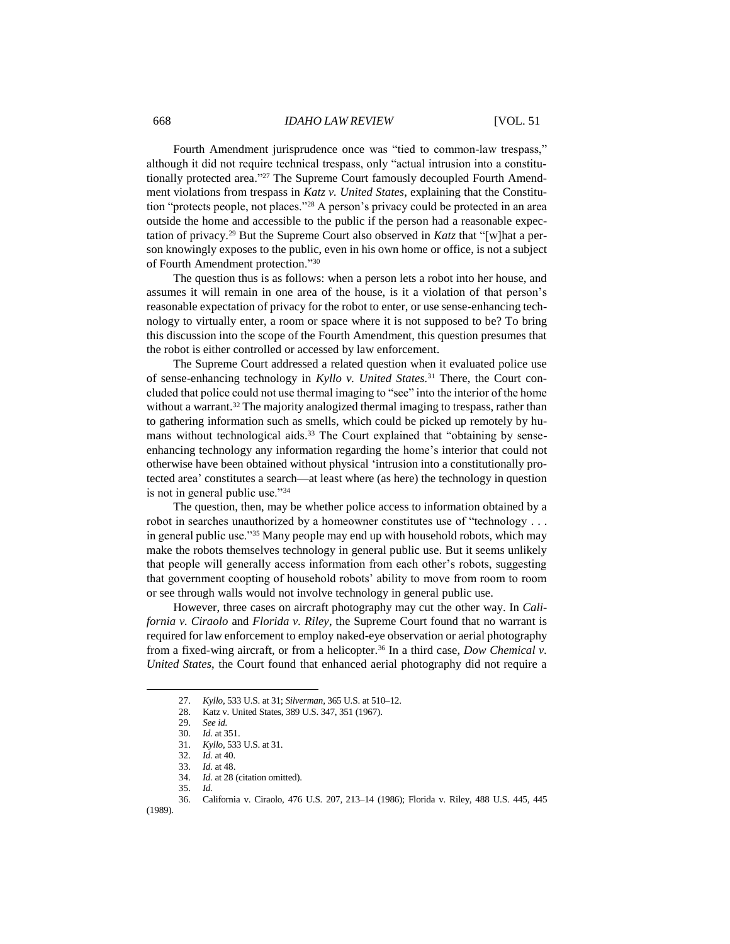Fourth Amendment jurisprudence once was "tied to common-law trespass," although it did not require technical trespass, only "actual intrusion into a constitutionally protected area." <sup>27</sup> The Supreme Court famously decoupled Fourth Amendment violations from trespass in *Katz v. United States*, explaining that the Constitution "protects people, not places."<sup>28</sup> A person's privacy could be protected in an area outside the home and accessible to the public if the person had a reasonable expectation of privacy.<sup>29</sup> But the Supreme Court also observed in *Katz* that "[w]hat a person knowingly exposes to the public, even in his own home or office, is not a subject of Fourth Amendment protection."<sup>30</sup>

The question thus is as follows: when a person lets a robot into her house, and assumes it will remain in one area of the house, is it a violation of that person's reasonable expectation of privacy for the robot to enter, or use sense-enhancing technology to virtually enter, a room or space where it is not supposed to be? To bring this discussion into the scope of the Fourth Amendment, this question presumes that the robot is either controlled or accessed by law enforcement.

The Supreme Court addressed a related question when it evaluated police use of sense-enhancing technology in *Kyllo v. United States.*<sup>31</sup> There, the Court concluded that police could not use thermal imaging to "see" into the interior of the home without a warrant.<sup>32</sup> The majority analogized thermal imaging to trespass, rather than to gathering information such as smells, which could be picked up remotely by humans without technological aids.<sup>33</sup> The Court explained that "obtaining by senseenhancing technology any information regarding the home's interior that could not otherwise have been obtained without physical 'intrusion into a constitutionally protected area' constitutes a search—at least where (as here) the technology in question is not in general public use."<sup>34</sup>

The question, then, may be whether police access to information obtained by a robot in searches unauthorized by a homeowner constitutes use of "technology . . . in general public use."<sup>35</sup> Many people may end up with household robots, which may make the robots themselves technology in general public use. But it seems unlikely that people will generally access information from each other's robots, suggesting that government coopting of household robots' ability to move from room to room or see through walls would not involve technology in general public use.

However, three cases on aircraft photography may cut the other way. In *California v. Ciraolo* and *Florida v. Riley*, the Supreme Court found that no warrant is required for law enforcement to employ naked-eye observation or aerial photography from a fixed-wing aircraft, or from a helicopter.<sup>36</sup> In a third case, *Dow Chemical v. United States*, the Court found that enhanced aerial photography did not require a

<sup>27.</sup> *Kyllo*, 533 U.S. at 31; *Silverman*, 365 U.S. at 510–12.

<sup>28.</sup> Katz v. United States, 389 U.S. 347, 351 (1967).

<sup>29.</sup> *See id.* 

<sup>30.</sup> *Id.* at 351.

<sup>31.</sup> *Kyllo,* 533 U.S. at 31.

<sup>32.</sup> *Id.* at 40.

<sup>33.</sup> *Id.* at 48.

<sup>34.</sup> *Id.* at 28 (citation omitted).

<sup>35.</sup> *Id.*

<sup>36.</sup> California v. Ciraolo, 476 U.S. 207, 213–14 (1986); Florida v. Riley, 488 U.S. 445, 445

<sup>(1989).</sup>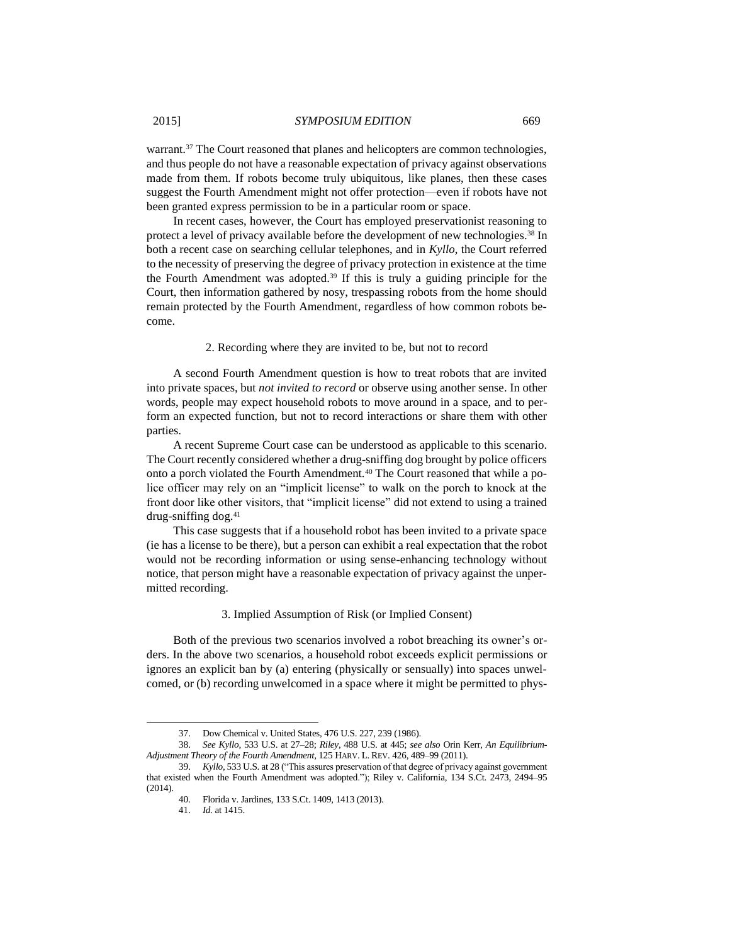warrant.<sup>37</sup> The Court reasoned that planes and helicopters are common technologies, and thus people do not have a reasonable expectation of privacy against observations made from them. If robots become truly ubiquitous, like planes, then these cases suggest the Fourth Amendment might not offer protection—even if robots have not been granted express permission to be in a particular room or space.

In recent cases, however, the Court has employed preservationist reasoning to protect a level of privacy available before the development of new technologies.<sup>38</sup> In both a recent case on searching cellular telephones, and in *Kyllo*, the Court referred to the necessity of preserving the degree of privacy protection in existence at the time the Fourth Amendment was adopted.<sup>39</sup> If this is truly a guiding principle for the Court, then information gathered by nosy, trespassing robots from the home should remain protected by the Fourth Amendment, regardless of how common robots become.

#### 2. Recording where they are invited to be, but not to record

A second Fourth Amendment question is how to treat robots that are invited into private spaces, but *not invited to record* or observe using another sense. In other words, people may expect household robots to move around in a space, and to perform an expected function, but not to record interactions or share them with other parties.

A recent Supreme Court case can be understood as applicable to this scenario. The Court recently considered whether a drug-sniffing dog brought by police officers onto a porch violated the Fourth Amendment.<sup>40</sup> The Court reasoned that while a police officer may rely on an "implicit license" to walk on the porch to knock at the front door like other visitors, that "implicit license" did not extend to using a trained drug-sniffing dog.<sup>41</sup>

This case suggests that if a household robot has been invited to a private space (ie has a license to be there), but a person can exhibit a real expectation that the robot would not be recording information or using sense-enhancing technology without notice, that person might have a reasonable expectation of privacy against the unpermitted recording.

#### 3. Implied Assumption of Risk (or Implied Consent)

Both of the previous two scenarios involved a robot breaching its owner's orders. In the above two scenarios, a household robot exceeds explicit permissions or ignores an explicit ban by (a) entering (physically or sensually) into spaces unwelcomed, or (b) recording unwelcomed in a space where it might be permitted to phys-

<sup>37.</sup> Dow Chemical v. United States, 476 U.S. 227, 239 (1986).

<sup>38.</sup> *See Kyllo*, 533 U.S. at 27–28; *Riley*, 488 U.S. at 445; *see also* Orin Kerr, *An Equilibrium-Adjustment Theory of the Fourth Amendment*, 125 HARV. L. REV. 426, 489–99 (2011).

<sup>39.</sup> *Kyllo*, 533 U.S. at 28 ("This assures preservation of that degree of privacy against government that existed when the Fourth Amendment was adopted."); Riley v. California, 134 S.Ct. 2473, 2494–95 (2014).

<sup>40.</sup> Florida v. Jardines, 133 S.Ct. 1409, 1413 (2013).

<sup>41.</sup> *Id.* at 1415.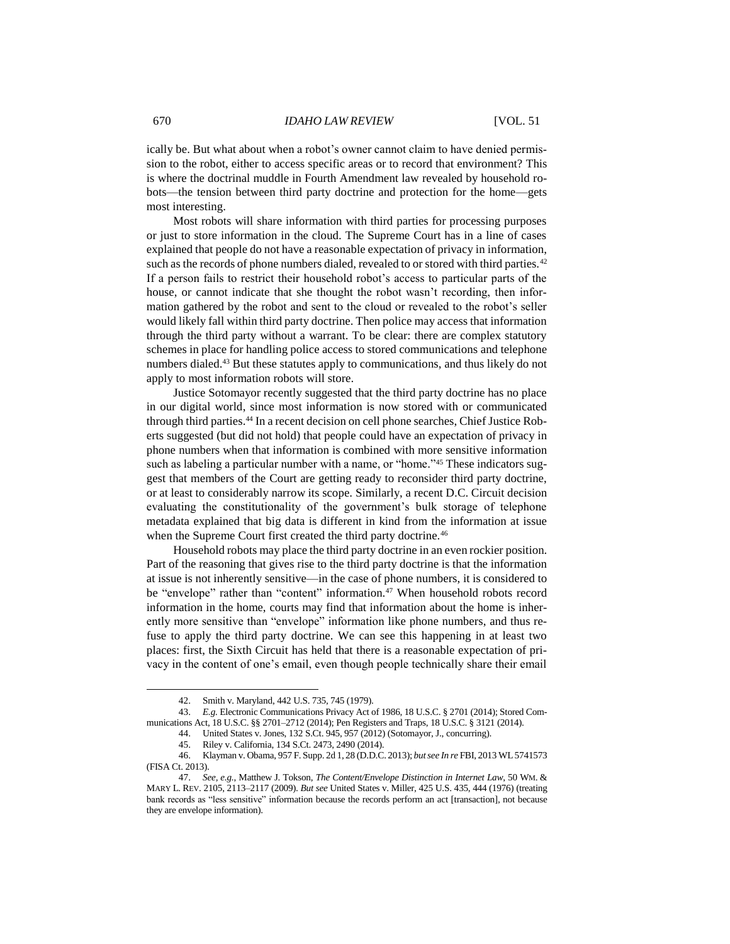ically be. But what about when a robot's owner cannot claim to have denied permission to the robot, either to access specific areas or to record that environment? This is where the doctrinal muddle in Fourth Amendment law revealed by household robots—the tension between third party doctrine and protection for the home—gets most interesting.

Most robots will share information with third parties for processing purposes or just to store information in the cloud. The Supreme Court has in a line of cases explained that people do not have a reasonable expectation of privacy in information, such as the records of phone numbers dialed, revealed to or stored with third parties.<sup>42</sup> If a person fails to restrict their household robot's access to particular parts of the house, or cannot indicate that she thought the robot wasn't recording, then information gathered by the robot and sent to the cloud or revealed to the robot's seller would likely fall within third party doctrine. Then police may access that information through the third party without a warrant. To be clear: there are complex statutory schemes in place for handling police access to stored communications and telephone numbers dialed.<sup>43</sup> But these statutes apply to communications, and thus likely do not apply to most information robots will store.

Justice Sotomayor recently suggested that the third party doctrine has no place in our digital world, since most information is now stored with or communicated through third parties. <sup>44</sup> In a recent decision on cell phone searches, Chief Justice Roberts suggested (but did not hold) that people could have an expectation of privacy in phone numbers when that information is combined with more sensitive information such as labeling a particular number with a name, or "home."<sup>45</sup> These indicators suggest that members of the Court are getting ready to reconsider third party doctrine, or at least to considerably narrow its scope. Similarly, a recent D.C. Circuit decision evaluating the constitutionality of the government's bulk storage of telephone metadata explained that big data is different in kind from the information at issue when the Supreme Court first created the third party doctrine.<sup>46</sup>

Household robots may place the third party doctrine in an even rockier position. Part of the reasoning that gives rise to the third party doctrine is that the information at issue is not inherently sensitive—in the case of phone numbers, it is considered to be "envelope" rather than "content" information.<sup>47</sup> When household robots record information in the home, courts may find that information about the home is inherently more sensitive than "envelope" information like phone numbers, and thus refuse to apply the third party doctrine. We can see this happening in at least two places: first, the Sixth Circuit has held that there is a reasonable expectation of privacy in the content of one's email, even though people technically share their email

<sup>42.</sup> Smith v. Maryland, 442 U.S. 735, 745 (1979).

<sup>43.</sup> *E.g.* Electronic Communications Privacy Act of 1986, 18 U.S.C. § 2701 (2014); Stored Communications Act, 18 U.S.C. §§ 2701–2712 (2014); Pen Registers and Traps, 18 U.S.C. § 3121 (2014).

<sup>44.</sup> United States v. Jones, 132 S.Ct. 945, 957 (2012) (Sotomayor, J., concurring).

<sup>45.</sup> Riley v. California, 134 S.Ct. 2473, 2490 (2014).

<sup>46.</sup> Klayman v. Obama, 957 F. Supp. 2d 1, 28 (D.D.C. 2013); *but see In re* FBI, 2013 WL 5741573 (FISA Ct. 2013).

<sup>47.</sup> *See, e.g.*, Matthew J. Tokson, *The Content/Envelope Distinction in Internet Law*, 50 WM. & MARY L. REV. 2105, 2113–2117 (2009). *But see* United States v. Miller, 425 U.S. 435, 444 (1976) (treating bank records as "less sensitive" information because the records perform an act [transaction], not because they are envelope information).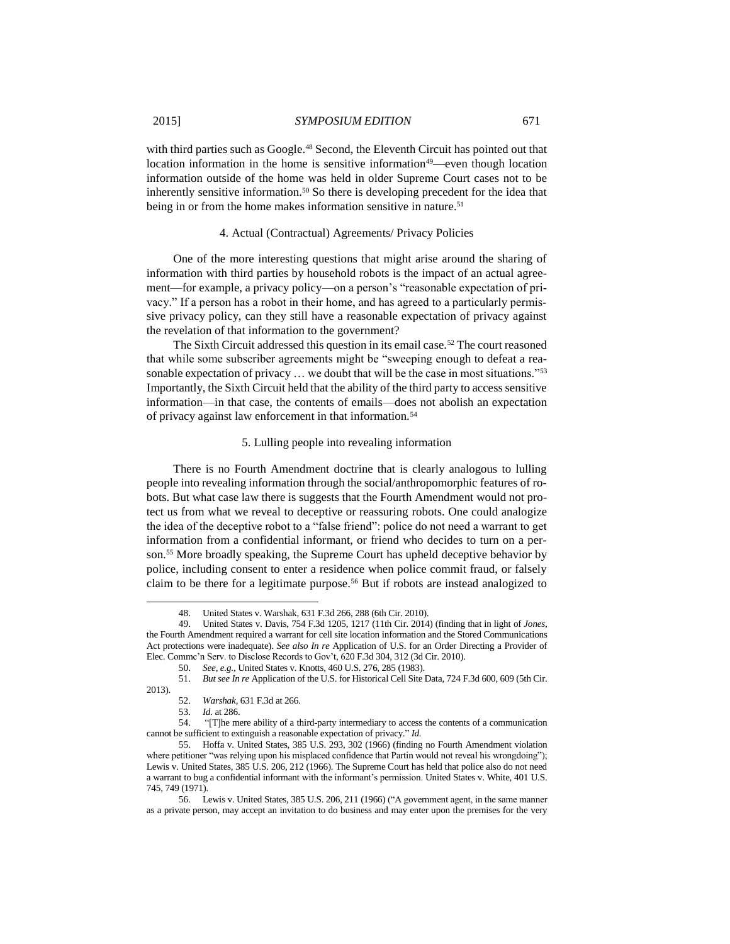with third parties such as Google.<sup>48</sup> Second, the Eleventh Circuit has pointed out that location information in the home is sensitive information<sup>49</sup>—even though location information outside of the home was held in older Supreme Court cases not to be inherently sensitive information. <sup>50</sup> So there is developing precedent for the idea that being in or from the home makes information sensitive in nature. 51

#### 4. Actual (Contractual) Agreements/ Privacy Policies

One of the more interesting questions that might arise around the sharing of information with third parties by household robots is the impact of an actual agreement—for example, a privacy policy—on a person's "reasonable expectation of privacy." If a person has a robot in their home, and has agreed to a particularly permissive privacy policy, can they still have a reasonable expectation of privacy against the revelation of that information to the government?

The Sixth Circuit addressed this question in its email case.<sup>52</sup> The court reasoned that while some subscriber agreements might be "sweeping enough to defeat a reasonable expectation of privacy ... we doubt that will be the case in most situations."<sup>53</sup> Importantly, the Sixth Circuit held that the ability of the third party to access sensitive information—in that case, the contents of emails—does not abolish an expectation of privacy against law enforcement in that information.<sup>54</sup>

#### 5. Lulling people into revealing information

There is no Fourth Amendment doctrine that is clearly analogous to lulling people into revealing information through the social/anthropomorphic features of robots. But what case law there is suggests that the Fourth Amendment would not protect us from what we reveal to deceptive or reassuring robots. One could analogize the idea of the deceptive robot to a "false friend": police do not need a warrant to get information from a confidential informant, or friend who decides to turn on a person.<sup>55</sup> More broadly speaking, the Supreme Court has upheld deceptive behavior by police, including consent to enter a residence when police commit fraud, or falsely claim to be there for a legitimate purpose.<sup>56</sup> But if robots are instead analogized to

<sup>48.</sup> United States v. Warshak, 631 F.3d 266, 288 (6th Cir. 2010).

<sup>49.</sup> United States v. Davis, 754 F.3d 1205, 1217 (11th Cir. 2014) (finding that in light of *Jones*, the Fourth Amendment required a warrant for cell site location information and the Stored Communications Act protections were inadequate). *See also In re* Application of U.S. for an Order Directing a Provider of Elec. Commc'n Serv. to Disclose Records to Gov't, 620 F.3d 304, 312 (3d Cir. 2010).

<sup>50.</sup> *See, e.g.*, United States v. Knotts, 460 U.S. 276, 285 (1983).

<sup>51.</sup> *But see In re* Application of the U.S. for Historical Cell Site Data, 724 F.3d 600, 609 (5th Cir. 2013).

<sup>52.</sup> *Warshak*, 631 F.3d at 266.

<sup>53.</sup> *Id.* at 286.

<sup>54.</sup> "[T]he mere ability of a third-party intermediary to access the contents of a communication cannot be sufficient to extinguish a reasonable expectation of privacy." *Id.*

<sup>55.</sup> Hoffa v. United States, 385 U.S. 293, 302 (1966) (finding no Fourth Amendment violation where petitioner "was relying upon his misplaced confidence that Partin would not reveal his wrongdoing"); Lewis v. United States, 385 U.S. 206, 212 (1966). The Supreme Court has held that police also do not need a warrant to bug a confidential informant with the informant's permission. United States v. White, 401 U.S. 745, 749 (1971).

<sup>56.</sup> Lewis v. United States, 385 U.S. 206, 211 (1966) ("A government agent, in the same manner as a private person, may accept an invitation to do business and may enter upon the premises for the very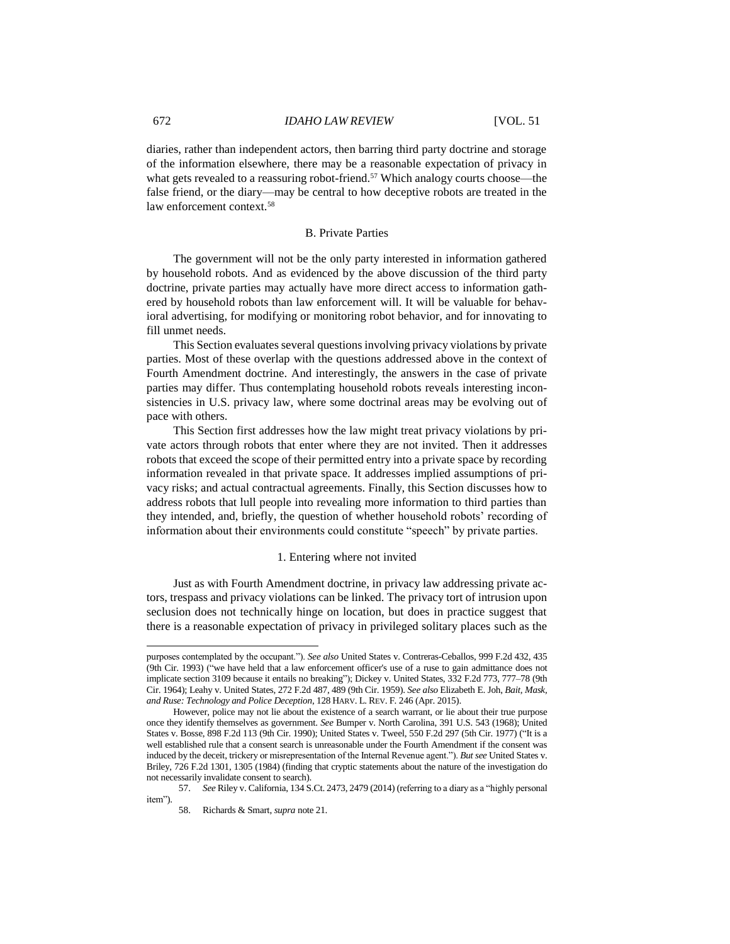diaries, rather than independent actors, then barring third party doctrine and storage of the information elsewhere, there may be a reasonable expectation of privacy in what gets revealed to a reassuring robot-friend.<sup>57</sup> Which analogy courts choose—the false friend, or the diary—may be central to how deceptive robots are treated in the law enforcement context.<sup>58</sup>

# B. Private Parties

The government will not be the only party interested in information gathered by household robots. And as evidenced by the above discussion of the third party doctrine, private parties may actually have more direct access to information gathered by household robots than law enforcement will. It will be valuable for behavioral advertising, for modifying or monitoring robot behavior, and for innovating to fill unmet needs.

This Section evaluates several questions involving privacy violations by private parties. Most of these overlap with the questions addressed above in the context of Fourth Amendment doctrine. And interestingly, the answers in the case of private parties may differ. Thus contemplating household robots reveals interesting inconsistencies in U.S. privacy law, where some doctrinal areas may be evolving out of pace with others.

This Section first addresses how the law might treat privacy violations by private actors through robots that enter where they are not invited. Then it addresses robots that exceed the scope of their permitted entry into a private space by recording information revealed in that private space. It addresses implied assumptions of privacy risks; and actual contractual agreements. Finally, this Section discusses how to address robots that lull people into revealing more information to third parties than they intended, and, briefly, the question of whether household robots' recording of information about their environments could constitute "speech" by private parties.

#### 1. Entering where not invited

Just as with Fourth Amendment doctrine, in privacy law addressing private actors, trespass and privacy violations can be linked. The privacy tort of intrusion upon seclusion does not technically hinge on location, but does in practice suggest that there is a reasonable expectation of privacy in privileged solitary places such as the

purposes contemplated by the occupant."). *See also* United States v. Contreras-Ceballos, 999 F.2d 432, 435 (9th Cir. 1993) ("we have held that a law enforcement officer's use of a ruse to gain admittance does not implicate section 3109 because it entails no breaking"); Dickey v. United States, 332 F.2d 773, 777–78 (9th Cir. 1964); Leahy v. United States, 272 F.2d 487, 489 (9th Cir. 1959). *See also* Elizabeth E. Joh, *Bait, Mask, and Ruse: Technology and Police Deception*, 128 HARV. L. REV. F. 246 (Apr. 2015).

However, police may not lie about the existence of a search warrant, or lie about their true purpose once they identify themselves as government. *See* Bumper v. North Carolina, 391 U.S. 543 (1968); United States v. Bosse, 898 F.2d 113 (9th Cir. 1990); United States v. Tweel, 550 F.2d 297 (5th Cir. 1977) ("It is a well established rule that a consent search is unreasonable under the Fourth Amendment if the consent was induced by the deceit, trickery or misrepresentation of the Internal Revenue agent."). *But see* United States v. Briley, 726 F.2d 1301, 1305 (1984) (finding that cryptic statements about the nature of the investigation do not necessarily invalidate consent to search).

<sup>57.</sup> *See* Riley v. California, 134 S.Ct. 2473, 2479 (2014) (referring to a diary as a "highly personal item").

<sup>58.</sup> Richards & Smart, *supra* note 21.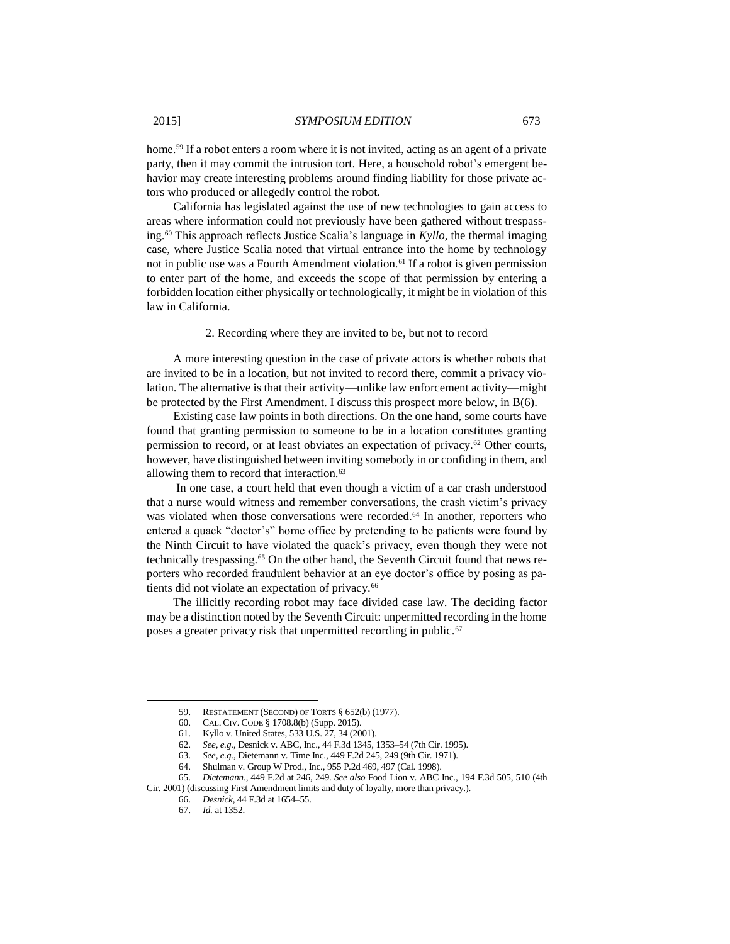home.<sup>59</sup> If a robot enters a room where it is not invited, acting as an agent of a private party, then it may commit the intrusion tort. Here, a household robot's emergent behavior may create interesting problems around finding liability for those private actors who produced or allegedly control the robot.

California has legislated against the use of new technologies to gain access to areas where information could not previously have been gathered without trespassing. <sup>60</sup> This approach reflects Justice Scalia's language in *Kyllo*, the thermal imaging case, where Justice Scalia noted that virtual entrance into the home by technology not in public use was a Fourth Amendment violation.<sup>61</sup> If a robot is given permission to enter part of the home, and exceeds the scope of that permission by entering a forbidden location either physically or technologically, it might be in violation of this law in California.

#### 2. Recording where they are invited to be, but not to record

A more interesting question in the case of private actors is whether robots that are invited to be in a location, but not invited to record there, commit a privacy violation. The alternative is that their activity—unlike law enforcement activity—might be protected by the First Amendment. I discuss this prospect more below, in  $B(6)$ .

Existing case law points in both directions. On the one hand, some courts have found that granting permission to someone to be in a location constitutes granting permission to record, or at least obviates an expectation of privacy.<sup>62</sup> Other courts, however, have distinguished between inviting somebody in or confiding in them, and allowing them to record that interaction.<sup>63</sup>

In one case, a court held that even though a victim of a car crash understood that a nurse would witness and remember conversations, the crash victim's privacy was violated when those conversations were recorded.<sup>64</sup> In another, reporters who entered a quack "doctor's" home office by pretending to be patients were found by the Ninth Circuit to have violated the quack's privacy, even though they were not technically trespassing.<sup>65</sup> On the other hand, the Seventh Circuit found that news reporters who recorded fraudulent behavior at an eye doctor's office by posing as patients did not violate an expectation of privacy.<sup>66</sup>

The illicitly recording robot may face divided case law. The deciding factor may be a distinction noted by the Seventh Circuit: unpermitted recording in the home poses a greater privacy risk that unpermitted recording in public.<sup>67</sup>

<sup>59.</sup> RESTATEMENT (SECOND) OF TORTS § 652(b) (1977).

<sup>60.</sup> CAL. CIV. CODE § 1708.8(b) (Supp. 2015).

<sup>61.</sup> Kyllo v. United States, 533 U.S. 27, 34 (2001).

<sup>62.</sup> *See, e.g.*, Desnick v. ABC, Inc., 44 F.3d 1345, 1353–54 (7th Cir. 1995).

<sup>63.</sup> *See, e.g.*, Dietemann v. Time Inc., 449 F.2d 245, 249 (9th Cir. 1971).

<sup>64.</sup> Shulman v. Group W Prod., Inc., 955 P.2d 469, 497 (Cal. 1998).

<sup>65.</sup> *Dietemann*., 449 F.2d at 246, 249. *See also* Food Lion v. ABC Inc., 194 F.3d 505, 510 (4th

Cir. 2001) (discussing First Amendment limits and duty of loyalty, more than privacy.).

<sup>66.</sup> *Desnick*, 44 F.3d at 1654–55.

<sup>67.</sup> *Id.* at 1352.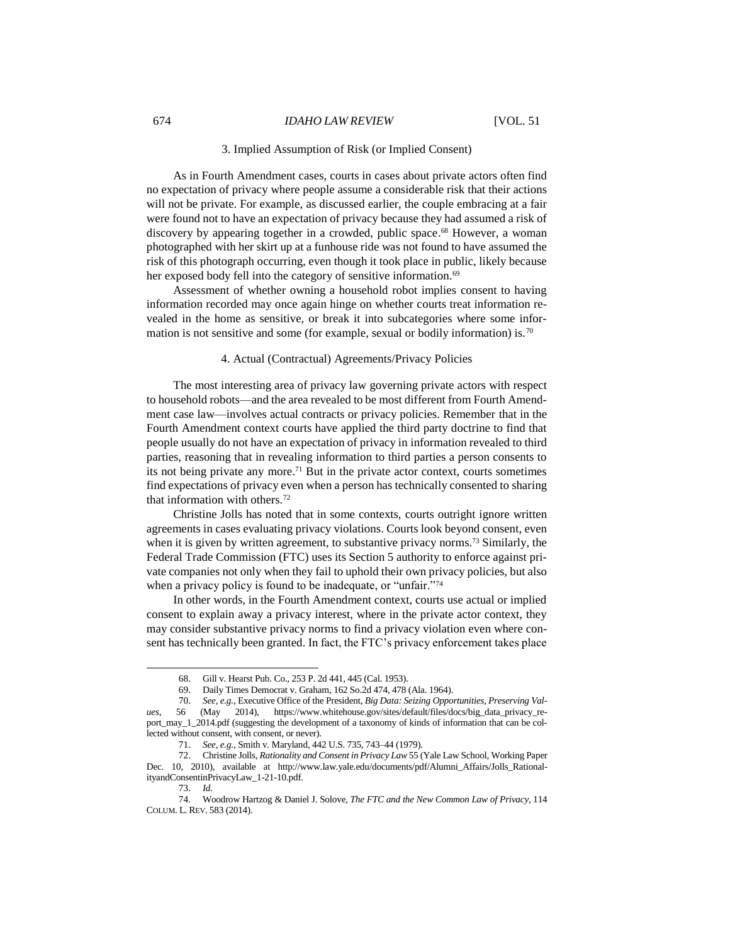# 3. Implied Assumption of Risk (or Implied Consent)

As in Fourth Amendment cases, courts in cases about private actors often find no expectation of privacy where people assume a considerable risk that their actions will not be private. For example, as discussed earlier, the couple embracing at a fair were found not to have an expectation of privacy because they had assumed a risk of discovery by appearing together in a crowded, public space. <sup>68</sup> However, a woman photographed with her skirt up at a funhouse ride was not found to have assumed the risk of this photograph occurring, even though it took place in public, likely because her exposed body fell into the category of sensitive information.<sup>69</sup>

Assessment of whether owning a household robot implies consent to having information recorded may once again hinge on whether courts treat information revealed in the home as sensitive, or break it into subcategories where some information is not sensitive and some (for example, sexual or bodily information) is.<sup>70</sup>

#### 4. Actual (Contractual) Agreements/Privacy Policies

The most interesting area of privacy law governing private actors with respect to household robots—and the area revealed to be most different from Fourth Amendment case law—involves actual contracts or privacy policies. Remember that in the Fourth Amendment context courts have applied the third party doctrine to find that people usually do not have an expectation of privacy in information revealed to third parties, reasoning that in revealing information to third parties a person consents to its not being private any more. <sup>71</sup> But in the private actor context, courts sometimes find expectations of privacy even when a person has technically consented to sharing that information with others.<sup>72</sup>

Christine Jolls has noted that in some contexts, courts outright ignore written agreements in cases evaluating privacy violations. Courts look beyond consent, even when it is given by written agreement, to substantive privacy norms.<sup>73</sup> Similarly, the Federal Trade Commission (FTC) uses its Section 5 authority to enforce against private companies not only when they fail to uphold their own privacy policies, but also when a privacy policy is found to be inadequate, or "unfair."<sup>74</sup>

In other words, in the Fourth Amendment context, courts use actual or implied consent to explain away a privacy interest, where in the private actor context, they may consider substantive privacy norms to find a privacy violation even where consent has technically been granted. In fact, the FTC's privacy enforcement takes place

<sup>68.</sup> Gill v. Hearst Pub. Co., 253 P. 2d 441, 445 (Cal. 1953).

<sup>69.</sup> Daily Times Democrat v. Graham, 162 So.2d 474, 478 (Ala. 1964).

<sup>70.</sup> *See, e.g.*, Executive Office of the President, *Big Data: Seizing Opportunities, Preserving Values*, 56 (May 2014), https://www.whitehouse.gov/sites/default/files/docs/big\_data\_privacy\_report\_may\_1\_2014.pdf (suggesting the development of a taxonomy of kinds of information that can be collected without consent, with consent, or never).

<sup>71.</sup> *See, e.g.*, Smith v. Maryland, 442 U.S. 735, 743–44 (1979).

<sup>72.</sup> Christine Jolls, *Rationality and Consent in Privacy Law* 55 (Yale Law School, Working Paper Dec. 10, 2010), available at http://www.law.yale.edu/documents/pdf/Alumni\_Affairs/Jolls\_RationalityandConsentinPrivacyLaw\_1-21-10.pdf.

<sup>73.</sup> *Id.*

<sup>74.</sup> Woodrow Hartzog & Daniel J. Solove, *The FTC and the New Common Law of Privacy*, 114 COLUM. L. REV. 583 (2014).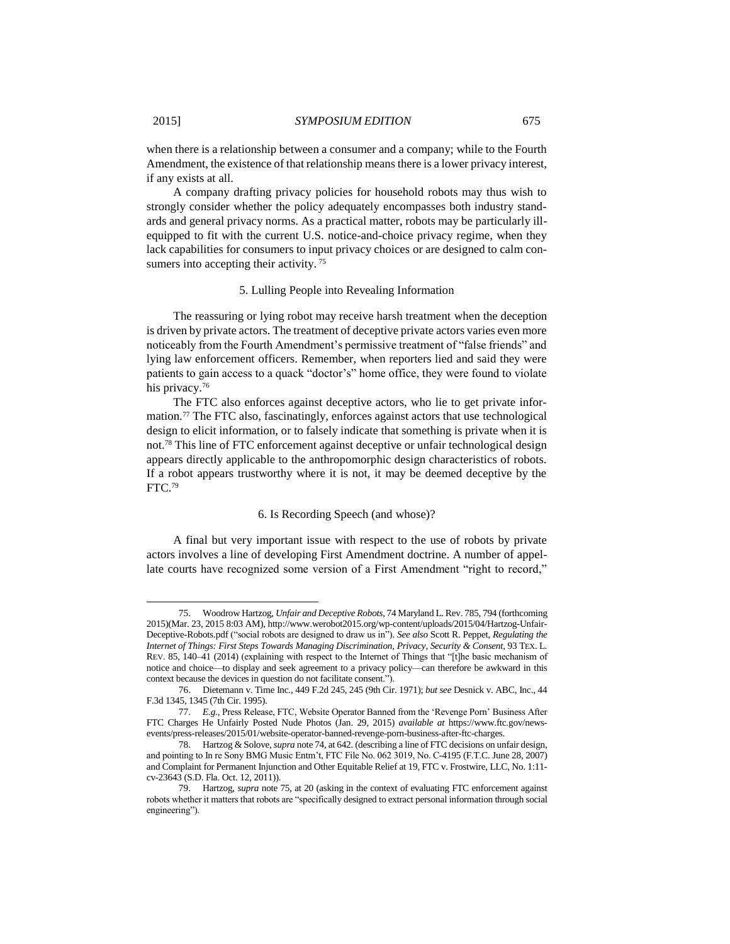when there is a relationship between a consumer and a company; while to the Fourth Amendment, the existence of that relationship means there is a lower privacy interest, if any exists at all.

A company drafting privacy policies for household robots may thus wish to strongly consider whether the policy adequately encompasses both industry standards and general privacy norms. As a practical matter, robots may be particularly illequipped to fit with the current U.S. notice-and-choice privacy regime, when they lack capabilities for consumers to input privacy choices or are designed to calm consumers into accepting their activity.<sup>75</sup>

#### 5. Lulling People into Revealing Information

The reassuring or lying robot may receive harsh treatment when the deception is driven by private actors. The treatment of deceptive private actors varies even more noticeably from the Fourth Amendment's permissive treatment of "false friends" and lying law enforcement officers. Remember, when reporters lied and said they were patients to gain access to a quack "doctor's" home office, they were found to violate his privacy.<sup>76</sup>

The FTC also enforces against deceptive actors, who lie to get private information.<sup>77</sup> The FTC also, fascinatingly, enforces against actors that use technological design to elicit information, or to falsely indicate that something is private when it is not.<sup>78</sup> This line of FTC enforcement against deceptive or unfair technological design appears directly applicable to the anthropomorphic design characteristics of robots. If a robot appears trustworthy where it is not, it may be deemed deceptive by the FTC.<sup>79</sup>

#### 6. Is Recording Speech (and whose)?

A final but very important issue with respect to the use of robots by private actors involves a line of developing First Amendment doctrine. A number of appellate courts have recognized some version of a First Amendment "right to record,"

<sup>75.</sup> Woodrow Hartzog, *Unfair and Deceptive Robots*, 74 Maryland L. Rev. 785, 794 (forthcoming 2015)(Mar. 23, 2015 8:03 AM), http://www.werobot2015.org/wp-content/uploads/2015/04/Hartzog-Unfair-Deceptive-Robots.pdf ("social robots are designed to draw us in"). *See also* Scott R. Peppet, *Regulating the Internet of Things: First Steps Towards Managing Discrimination, Privacy, Security & Consent*, 93 TEX. L. REV. 85, 140–41 (2014) (explaining with respect to the Internet of Things that "[t]he basic mechanism of notice and choice—to display and seek agreement to a privacy policy—can therefore be awkward in this context because the devices in question do not facilitate consent.").

<sup>76.</sup> Dietemann v. Time Inc., 449 F.2d 245, 245 (9th Cir. 1971); *but see* Desnick v. ABC, Inc., 44 F.3d 1345, 1345 (7th Cir. 1995).

<sup>77.</sup> *E.g.*, Press Release, FTC, Website Operator Banned from the 'Revenge Porn' Business After FTC Charges He Unfairly Posted Nude Photos (Jan. 29, 2015) *available at* https://www.ftc.gov/newsevents/press-releases/2015/01/website-operator-banned-revenge-porn-business-after-ftc-charges.

<sup>78.</sup> Hartzog & Solove, *supra* note 74, at 642. (describing a line of FTC decisions on unfair design, and pointing to In re Sony BMG Music Entm't, FTC File No. 062 3019, No. C-4195 (F.T.C. June 28, 2007) and Complaint for Permanent Injunction and Other Equitable Relief at 19, FTC v. Frostwire, LLC, No. 1:11 cv-23643 (S.D. Fla. Oct. 12, 2011)).

<sup>79.</sup> Hartzog, *supra* note 75, at 20 (asking in the context of evaluating FTC enforcement against robots whether it matters that robots are "specifically designed to extract personal information through social engineering").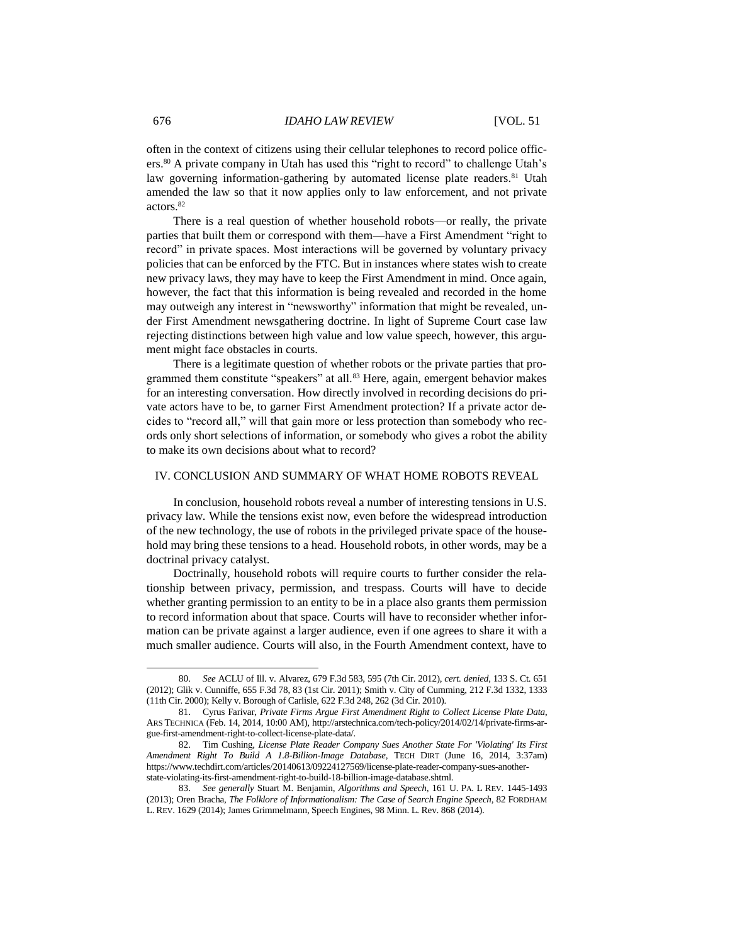often in the context of citizens using their cellular telephones to record police officers.<sup>80</sup> A private company in Utah has used this "right to record" to challenge Utah's law governing information-gathering by automated license plate readers.<sup>81</sup> Utah amended the law so that it now applies only to law enforcement, and not private actors.<sup>82</sup>

There is a real question of whether household robots—or really, the private parties that built them or correspond with them—have a First Amendment "right to record" in private spaces. Most interactions will be governed by voluntary privacy policies that can be enforced by the FTC. But in instances where states wish to create new privacy laws, they may have to keep the First Amendment in mind. Once again, however, the fact that this information is being revealed and recorded in the home may outweigh any interest in "newsworthy" information that might be revealed, under First Amendment newsgathering doctrine. In light of Supreme Court case law rejecting distinctions between high value and low value speech, however, this argument might face obstacles in courts.

There is a legitimate question of whether robots or the private parties that programmed them constitute "speakers" at all.<sup>83</sup> Here, again, emergent behavior makes for an interesting conversation. How directly involved in recording decisions do private actors have to be, to garner First Amendment protection? If a private actor decides to "record all," will that gain more or less protection than somebody who records only short selections of information, or somebody who gives a robot the ability to make its own decisions about what to record?

#### IV. CONCLUSION AND SUMMARY OF WHAT HOME ROBOTS REVEAL

In conclusion, household robots reveal a number of interesting tensions in U.S. privacy law. While the tensions exist now, even before the widespread introduction of the new technology, the use of robots in the privileged private space of the household may bring these tensions to a head. Household robots, in other words, may be a doctrinal privacy catalyst.

Doctrinally, household robots will require courts to further consider the relationship between privacy, permission, and trespass. Courts will have to decide whether granting permission to an entity to be in a place also grants them permission to record information about that space. Courts will have to reconsider whether information can be private against a larger audience, even if one agrees to share it with a much smaller audience. Courts will also, in the Fourth Amendment context, have to

<sup>80.</sup> *See* ACLU of Ill. v. Alvarez, 679 F.3d 583, 595 (7th Cir. 2012), *cert. denied*, 133 S. Ct. 651 (2012); Glik v. Cunniffe, 655 F.3d 78, 83 (1st Cir. 2011); Smith v. City of Cumming, 212 F.3d 1332, 1333 (11th Cir. 2000); Kelly v. Borough of Carlisle, 622 F.3d 248, 262 (3d Cir. 2010).

<sup>81.</sup> Cyrus Farivar, *Private Firms Argue First Amendment Right to Collect License Plate Data*, ARS TECHNICA (Feb. 14, 2014, 10:00 AM), http://arstechnica.com/tech-policy/2014/02/14/private-firms-argue-first-amendment-right-to-collect-license-plate-data/.

<sup>82.</sup> Tim Cushing, *License Plate Reader Company Sues Another State For 'Violating' Its First Amendment Right To Build A 1.8-Billion-Image Database*, TECH DIRT (June 16, 2014, 3:37am) https://www.techdirt.com/articles/20140613/09224127569/license-plate-reader-company-sues-anotherstate-violating-its-first-amendment-right-to-build-18-billion-image-database.shtml.

<sup>83.</sup> *See generally* Stuart M. Benjamin, *Algorithms and Speech*, 161 U. PA. L REV. 1445-1493 (2013); Oren Bracha, *The Folklore of Informationalism: The Case of Search Engine Speech*, 82 FORDHAM L. REV. 1629 (2014); James Grimmelmann, Speech Engines, 98 Minn. L. Rev. 868 (2014).